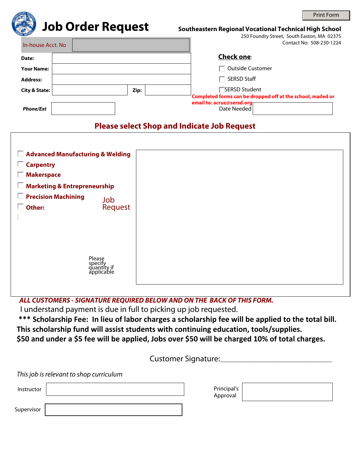|                          |  |      |  |                                                                                                                                  | <b>Print Form</b> |  |
|--------------------------|--|------|--|----------------------------------------------------------------------------------------------------------------------------------|-------------------|--|
| <b>Job Order Request</b> |  |      |  | Southeastern Regional Vocational Technical High School<br>250 Foundry Street, South Easton, MA 02375<br>Contact No: 508-230-1224 |                   |  |
| In-house Acct. No        |  |      |  |                                                                                                                                  |                   |  |
| Date:                    |  |      |  | <b>Check one:</b>                                                                                                                |                   |  |
| <b>Your Name:</b>        |  |      |  | <b>Outside Customer</b>                                                                                                          |                   |  |
| <b>Address:</b>          |  |      |  | <b>SERSD Staff</b>                                                                                                               |                   |  |
| <b>City &amp; State:</b> |  | Zip: |  | -SERSD Student<br>Completed forms can be dropped off at the school, mailed or<br>email to: acruz@sersd.org                       |                   |  |
| <b>Phone/Ext</b>         |  |      |  | Date Needed                                                                                                                      |                   |  |

## **Please select Shop and Indicate Job Request**

| $\Box$ Advanced Manufacturing & Welding<br><b>Carpentry</b><br>×.<br><b>Makerspace</b> |                                                |
|----------------------------------------------------------------------------------------|------------------------------------------------|
| <b>Marketing &amp; Entrepreneurship</b><br><b>Precision Machining</b><br>Other:        | Job<br>Request                                 |
|                                                                                        | Please<br>specify<br>quantity if<br>applicable |

 *ALL CUSTOMERS - SIGNATURE REQUIRED BELOW AND ON THE BACK OF THIS FORM.*

I understand payment is due in full to picking up job requested.

**\*\*\* Scholarship Fee: In lieu of labor charges a scholarship fee will be applied to the total bill. This scholarship fund will assist students with continuing education, tools/supplies. \$50 and under a \$5 fee will be applied, Jobs over \$50 will be charged 10% of total charges.**

Customer Signature:\_\_\_\_\_\_\_\_\_\_\_\_\_\_\_\_\_\_\_\_\_\_\_\_\_\_\_\_\_\_\_\_\_\_\_\_\_\_

*This job is relevant to shop curriculum*

Instructor

| Principal's |  |
|-------------|--|
| Approval    |  |

Supervisor